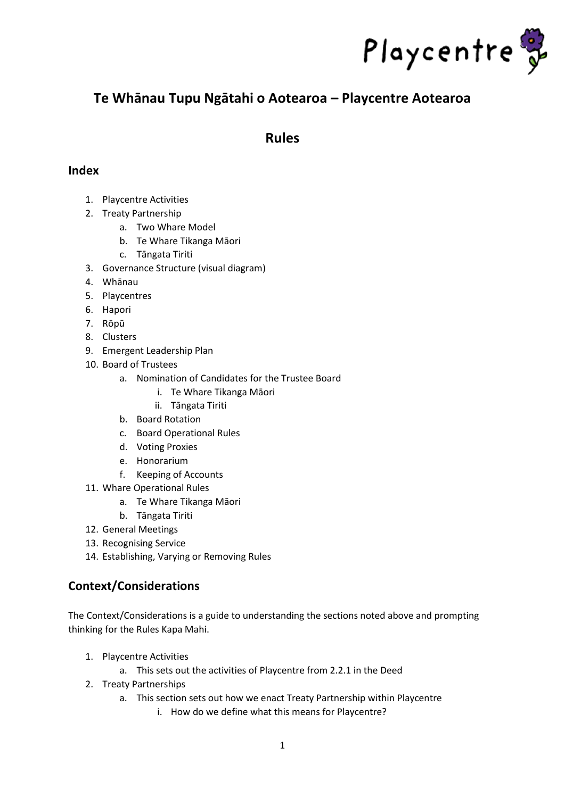

## **Te Whānau Tupu Ngātahi o Aotearoa – Playcentre Aotearoa**

## **Rules**

## **Index**

- 1. Playcentre Activities
- 2. Treaty Partnership
	- a. Two Whare Model
	- b. Te Whare Tikanga Māori
	- c. Tāngata Tiriti
- 3. Governance Structure (visual diagram)
- 4. Whānau
- 5. Playcentres
- 6. Hapori
- 7. Rōpū
- 8. Clusters
- 9. Emergent Leadership Plan
- 10. Board of Trustees
	- a. Nomination of Candidates for the Trustee Board
		- i. Te Whare Tikanga Māori
		- ii. Tāngata Tiriti
	- b. Board Rotation
	- c. Board Operational Rules
	- d. Voting Proxies
	- e. Honorarium
	- f. Keeping of Accounts
- 11. Whare Operational Rules
	- a. Te Whare Tikanga Māori
	- b. Tāngata Tiriti
- 12. General Meetings
- 13. Recognising Service
- 14. Establishing, Varying or Removing Rules

## **Context/Considerations**

The Context/Considerations is a guide to understanding the sections noted above and prompting thinking for the Rules Kapa Mahi.

- 1. Playcentre Activities
	- a. This sets out the activities of Playcentre from 2.2.1 in the Deed
- 2. Treaty Partnerships
	- a. This section sets out how we enact Treaty Partnership within Playcentre
		- i. How do we define what this means for Playcentre?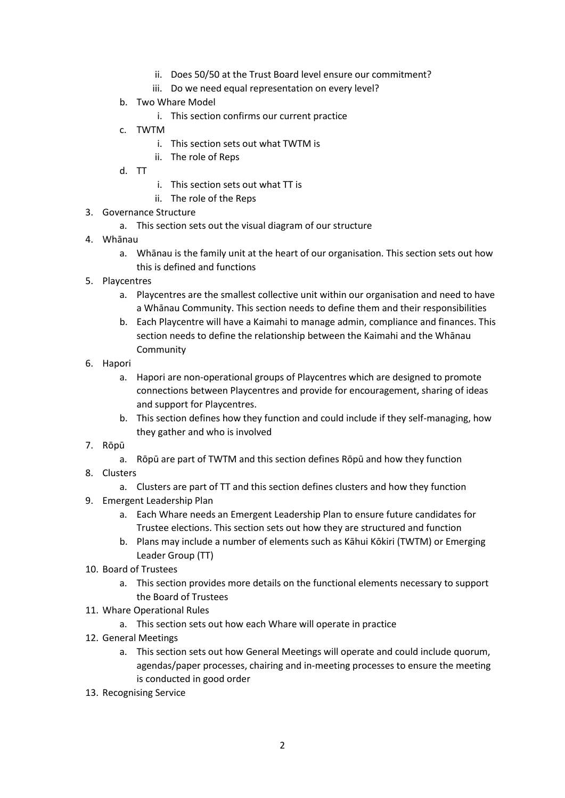- ii. Does 50/50 at the Trust Board level ensure our commitment?
- iii. Do we need equal representation on every level?
- b. Two Whare Model
	- i. This section confirms our current practice
- c. TWTM
	- i. This section sets out what TWTM is
	- ii. The role of Reps
- d. TT
- i. This section sets out what TT is
- ii. The role of the Reps
- 3. Governance Structure
	- a. This section sets out the visual diagram of our structure
- 4. Whānau
	- a. Whānau is the family unit at the heart of our organisation. This section sets out how this is defined and functions
- 5. Playcentres
	- a. Playcentres are the smallest collective unit within our organisation and need to have a Whānau Community. This section needs to define them and their responsibilities
	- b. Each Playcentre will have a Kaimahi to manage admin, compliance and finances. This section needs to define the relationship between the Kaimahi and the Whānau Community
- 6. Hapori
	- a. Hapori are non-operational groups of Playcentres which are designed to promote connections between Playcentres and provide for encouragement, sharing of ideas and support for Playcentres.
	- b. This section defines how they function and could include if they self-managing, how they gather and who is involved
- 7. Rōpū
	- a. Rōpū are part of TWTM and this section defines Rōpū and how they function
- 8. Clusters
	- a. Clusters are part of TT and this section defines clusters and how they function
- 9. Emergent Leadership Plan
	- a. Each Whare needs an Emergent Leadership Plan to ensure future candidates for Trustee elections. This section sets out how they are structured and function
	- b. Plans may include a number of elements such as Kāhui Kōkiri (TWTM) or Emerging Leader Group (TT)
- 10. Board of Trustees
	- a. This section provides more details on the functional elements necessary to support the Board of Trustees
- 11. Whare Operational Rules
	- a. This section sets out how each Whare will operate in practice
- 12. General Meetings
	- a. This section sets out how General Meetings will operate and could include quorum, agendas/paper processes, chairing and in-meeting processes to ensure the meeting is conducted in good order
- 13. Recognising Service